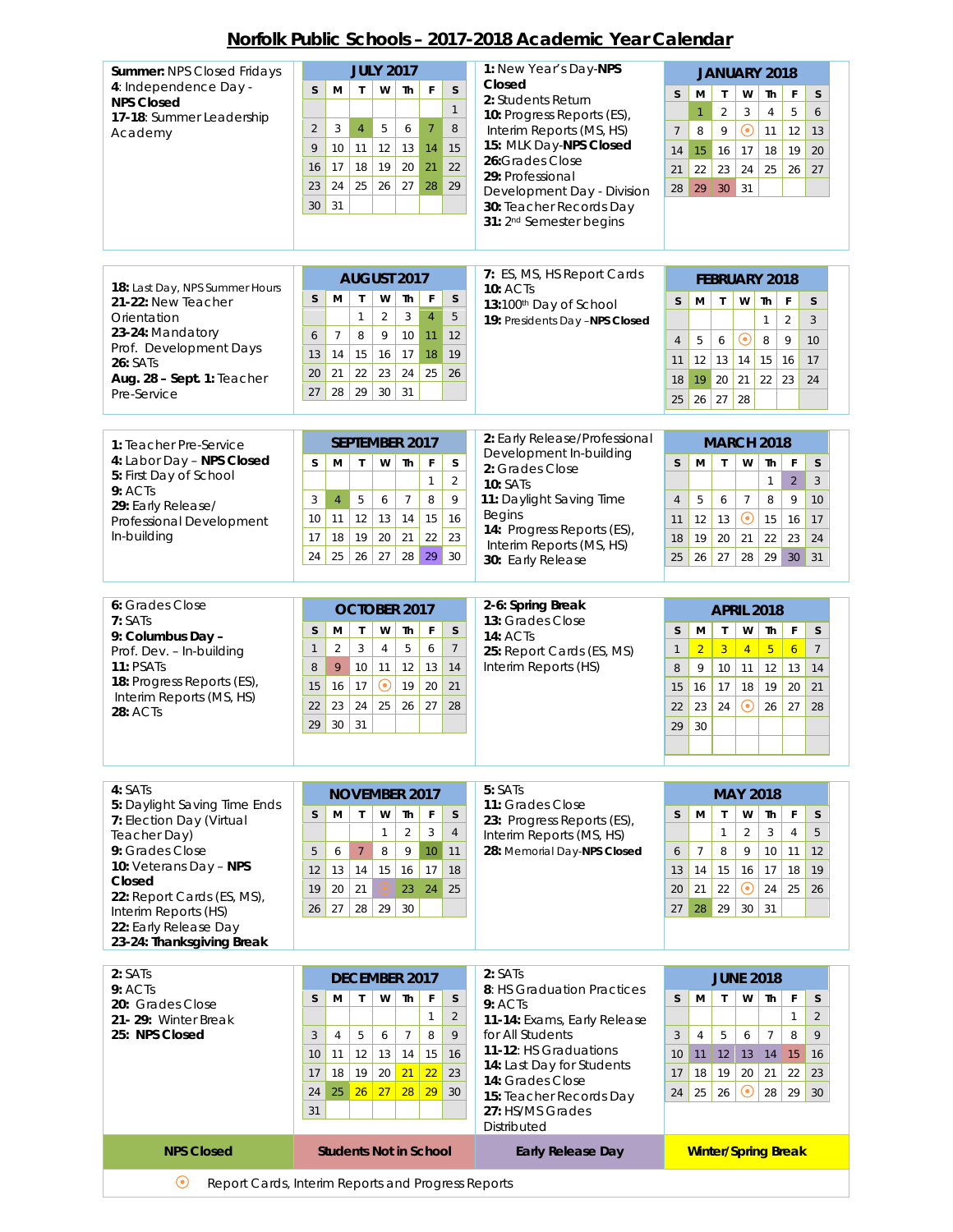## **Norfolk Public Schools – 2017-2018 Academic Year Calendar**

| Summer: NPS Closed Fridays                               | <b>JULY 2017</b>                                                                    | 1: New Year's Day-NPS                                 | JANUARY 2018                                                                                                              |
|----------------------------------------------------------|-------------------------------------------------------------------------------------|-------------------------------------------------------|---------------------------------------------------------------------------------------------------------------------------|
| 4: Independence Day -<br><b>NPS Closed</b>               | W<br>F<br>M<br><b>Th</b><br>S<br>S<br>$\mathsf{T}$                                  | Closed<br>2: Students Return                          | $\mathsf{S}$<br>M<br>$\mathsf{T}$<br>W<br>F<br>S<br><b>Th</b>                                                             |
| 17-18: Summer Leadership                                 | $\mathbf{1}$                                                                        | 10: Progress Reports (ES),                            | 6<br>$\overline{2}$<br>5<br>$\mathbf{1}$<br>$\overline{4}$<br>3                                                           |
| Academy                                                  | 3<br>$\overline{7}$<br>8<br>$\overline{2}$<br>$\overline{4}$<br>5<br>6              | Interim Reports (MS, HS)<br>15: MLK Day-NPS Closed    | $\odot$<br>8<br>9<br>11<br>12<br>13<br>$7\overline{ }$                                                                    |
|                                                          | 10<br>12<br>13<br>15<br>9<br>11<br>14                                               | 26: Grades Close                                      | 15<br>19<br>20<br>16<br>17<br>18<br>14                                                                                    |
|                                                          | 19<br>20<br>22<br>17<br>18<br>21<br>16<br>24<br>25<br>26<br>27<br>29<br>23<br>28    | 29: Professional                                      | 24<br>22<br>23<br>25<br>26<br>27<br>21                                                                                    |
|                                                          | 31<br>30                                                                            | Development Day - Division<br>30: Teacher Records Day | 29<br>31<br>30<br>28                                                                                                      |
|                                                          |                                                                                     | 31: 2 <sup>nd</sup> Semester begins                   |                                                                                                                           |
|                                                          |                                                                                     |                                                       |                                                                                                                           |
|                                                          |                                                                                     | 7: ES, MS, HS Report Cards                            |                                                                                                                           |
| 18: Last Day, NPS Summer Hours                           | AUGUST 2017<br>M<br>S<br>T                                                          | <b>10: ACTs</b>                                       | <b>FEBRUARY 2018</b>                                                                                                      |
| 21-22: New Teacher<br>Orientation                        | W<br>Th<br>F<br>S<br>5<br>$\overline{2}$<br>3<br>$\overline{4}$<br>1                | 13:100th Day of School                                | M<br>T<br>W<br>Th<br>$\mathsf F$<br>S<br>S                                                                                |
| 23-24: Mandatory                                         | 9<br>$\overline{7}$<br>8<br>10<br>11<br>12<br>6                                     | 19: Presidents Day -NPS Closed                        | $\overline{2}$<br>3<br>$\mathbf{1}$<br>$\rm \odot$<br>9                                                                   |
| Prof. Development Days                                   | 19<br>14<br>15<br>16<br>17<br>18<br>13                                              |                                                       | 5<br>8<br>$\overline{4}$<br>6<br>10<br>12<br>13<br>14<br>15<br>16<br>17<br>11                                             |
| <b>26: SATs</b><br>Aug. 28 - Sept. 1: Teacher            | 21<br>22<br>23<br>24<br>25<br>26<br>20                                              |                                                       | 19<br>20<br>22<br>23<br>21<br>24<br>18                                                                                    |
| Pre-Service                                              | 29<br>28<br>30<br>31<br>27                                                          |                                                       | 28<br>26<br>27<br>25                                                                                                      |
|                                                          |                                                                                     |                                                       |                                                                                                                           |
| 1: Teacher Pre-Service                                   | <b>SEPTEMBER 2017</b>                                                               | 2: Early Release/Professional                         | <b>MARCH 2018</b>                                                                                                         |
| 4: Labor Day - NPS Closed                                | S<br>M<br>$\mathsf{T}$<br>W<br>Th<br>F<br>S                                         | Development In-building<br>2: Grades Close            | S<br>M<br>$\mathsf{T}$<br>W<br>Th<br>F<br>$\mathsf S$                                                                     |
| 5: First Day of School<br>9:ACIs                         | $\mathbf{1}$<br>$\overline{a}$                                                      | <b>10: SATs</b>                                       | $\overline{2}$<br>$\mathbf{1}$<br>3                                                                                       |
| 29: Early Release/                                       | 3<br>$\overline{4}$<br>$\overline{7}$<br>8<br>9<br>5<br>6                           | 11: Daylight Saving Time                              | 5<br>$\overline{7}$<br>8<br>9<br>6<br>10<br>$\overline{4}$                                                                |
| Professional Development                                 | 12<br>15<br>16<br>10<br>11<br>13<br>14                                              | Begins<br>14: Progress Reports (ES),                  | $\odot$<br>12<br>13<br>15<br>16<br>17<br>11                                                                               |
| In-building                                              | 18<br>19<br>22<br>23<br>17<br>20<br>21                                              | Interim Reports (MS, HS)                              | 21<br>22<br>19<br>20<br>23<br>24<br>18                                                                                    |
|                                                          | 24<br>25<br>26<br>27<br>28<br>29<br>30                                              | 30: Early Release                                     | 28<br>29<br>26<br>27<br>30<br>31<br>25                                                                                    |
|                                                          |                                                                                     |                                                       |                                                                                                                           |
| 6: Grades Close<br>7:SATs                                | OCTOBER 2017                                                                        | 2-6: Spring Break<br>13: Grades Close                 | <b>APRIL 2018</b>                                                                                                         |
| 9: Columbus Day -                                        | S<br>м<br>$\mathsf{T}$<br>W<br>Th<br>F<br>S                                         | <b>14: ACTs</b>                                       | M<br>$\mathsf{T}$<br>W<br>Th<br>F<br>S<br>S                                                                               |
| Prof. Dev. - In-building<br>11: PSATs                    | $\overline{2}$<br>5<br>$\overline{7}$<br>$\mathbf{1}$<br>3<br>$\overline{4}$<br>6   | 25: Report Cards (ES, MS)                             | $\overline{2}$<br>$\overline{3}$<br>$5\phantom{a}$<br>$\overline{6}$<br>$\mathbf{1}$<br>$\overline{4}$<br>$7\phantom{.0}$ |
| 18: Progress Reports (ES),                               | 8<br>9<br>12<br>13<br>14<br>10<br>11<br>$\odot$<br>19<br>20<br>21<br>15<br>16<br>17 | Interim Reports (HS)                                  | 9<br>14<br>8<br>10<br>11<br>12<br>13<br>18<br>19<br>20<br>21                                                              |
| Interim Reports (MS, HS)                                 | 23<br>25<br>26<br>28<br>24<br>27<br>22                                              |                                                       | 16<br>17<br>15<br>$\boldsymbol{\odot}$<br>23<br>26<br>22<br>24<br>27<br>28                                                |
| <b>28: ACTs</b>                                          | 30<br>31<br>29                                                                      |                                                       | 30<br>29                                                                                                                  |
|                                                          |                                                                                     |                                                       |                                                                                                                           |
|                                                          |                                                                                     |                                                       |                                                                                                                           |
| 4: SATs                                                  | <b>NOVEMBER 2017</b>                                                                | 5: SATs                                               | <b>MAY 2018</b>                                                                                                           |
| 5: Daylight Saving Time Ends<br>7: Election Day (Virtual | S<br>$\mathsf{T}$<br>M<br>W<br>Th<br>F<br>S                                         | 11: Grades Close<br>23: Progress Reports (ES),        | M<br>T<br>W<br>F<br>S<br>S<br>Th                                                                                          |
| Teacher Day)                                             | $\overline{4}$<br>$\overline{2}$<br>3<br>$\mathbf{1}$                               | Interim Reports (MS, HS)                              | 5<br>$\mathbf{1}$<br>$\mathfrak{Z}$<br>$\overline{4}$<br>$\overline{2}$                                                   |
| 9: Grades Close                                          | 10 <sup>°</sup><br>$\overline{7}$<br>9<br>5<br>6<br>8<br>11                         | 28: Memorial Day-NPS Closed                           | $\overline{7}$<br>8<br>10<br>9<br>11<br>12<br>6                                                                           |
| 10: Veterans Day - NPS<br>Closed                         | 17<br>13<br>14<br>15<br>16<br>12<br>18                                              |                                                       | 17<br>18<br>14<br>15<br>16<br>19<br>13                                                                                    |
| 22: Report Cards (ES, MS),                               | 20<br>21<br>19<br>23<br>24<br>25                                                    |                                                       | $\boldsymbol{\odot}$<br>21<br>22<br>24<br>25<br>20<br>26                                                                  |
| Interim Reports (HS)<br>22: Early Release Day            | 27<br>28<br>29<br>30<br>26                                                          |                                                       | 30<br>28<br>29<br>31<br>27                                                                                                |
| 23-24: Thanksgiving Break                                |                                                                                     |                                                       |                                                                                                                           |
| 2: SATs                                                  |                                                                                     | 2:SATs                                                |                                                                                                                           |
| 9:ACTs                                                   | <b>DECEMBER 2017</b>                                                                | 8: HS Graduation Practices                            | <b>JUNE 2018</b>                                                                                                          |
| 20: Grades Close                                         | S<br>M<br>w<br>Th<br>S<br>T<br>F<br>$\overline{2}$<br>$\mathbf{1}$                  | 9:ACTs                                                | M<br>S<br>$\mathsf{T}$<br>W<br>F<br>S<br>Th<br>$\overline{2}$<br>1                                                        |
| 21-29: Winter Break<br>25: NPS Closed                    | 9<br>$7\phantom{.0}$<br>8<br>3<br>$\overline{4}$<br>5<br>6                          | 11-14: Exams, Early Release<br>for All Students       | 9<br>3<br>$7\overline{ }$<br>$\overline{4}$<br>5<br>8<br>6                                                                |
|                                                          | 11<br>12<br>14<br>15<br>16<br>13<br>10                                              | 11-12: HS Graduations                                 | 16<br>11<br>12<br>14<br>15<br>10<br>13                                                                                    |
|                                                          | 22<br>19<br>21<br>18<br>20<br>23<br>17                                              | 14: Last Day for Students<br>14: Grades Close         | 22<br>18<br>19<br>20<br>21<br>23<br>17                                                                                    |
|                                                          | 28<br>29<br>25<br>26<br>27<br>30<br>24                                              | 15: Teacher Records Day                               | $_{\odot}$<br>25<br>28<br>29<br>24<br>26<br>30                                                                            |
|                                                          | 31                                                                                  | 27: HS/MS Grades<br>Distributed                       |                                                                                                                           |
| <b>NPS Closed</b>                                        | <b>Students Not in School</b>                                                       | <b>Early Release Day</b>                              | <b>Winter/Spring Break</b>                                                                                                |
|                                                          |                                                                                     |                                                       |                                                                                                                           |
| $\odot$                                                  | Report Cards, Interim Reports and Progress Reports                                  |                                                       |                                                                                                                           |